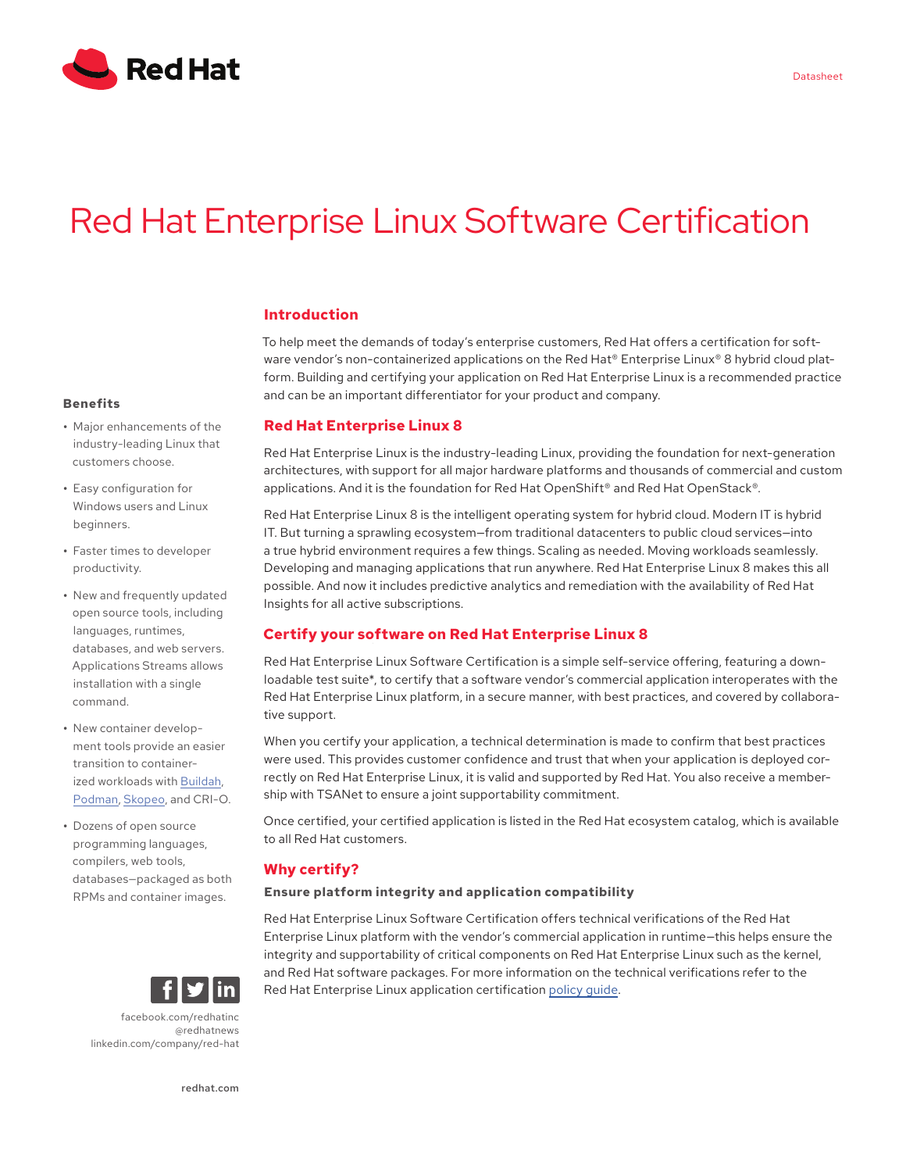

# Red Hat Enterprise Linux Software Certification

# **Introduction**

To help meet the demands of today's enterprise customers, Red Hat offers a certification for software vendor's non-containerized applications on the Red Hat® Enterprise Linux® 8 hybrid cloud platform. Building and certifying your application on Red Hat Enterprise Linux is a recommended practice and can be an important differentiator for your product and company.

## **Red Hat Enterprise Linux 8**

Red Hat Enterprise Linux is the industry-leading Linux, providing the foundation for next-generation architectures, with support for all major hardware platforms and thousands of commercial and custom applications. And it is the foundation for Red Hat OpenShift® and Red Hat OpenStack®.

Red Hat Enterprise Linux 8 is the intelligent operating system for hybrid cloud. Modern IT is hybrid IT. But turning a sprawling ecosystem—from traditional datacenters to public cloud services—into a true hybrid environment requires a few things. Scaling as needed. Moving workloads seamlessly. Developing and managing applications that run anywhere. Red Hat Enterprise Linux 8 makes this all possible. And now it includes predictive analytics and remediation with the availability of Red Hat Insights for all active subscriptions.

# **Certify your software on Red Hat Enterprise Linux 8**

Red Hat Enterprise Linux Software Certification is a simple self-service offering, featuring a downloadable test suite\*, to certify that a software vendor's commercial application interoperates with the Red Hat Enterprise Linux platform, in a secure manner, with best practices, and covered by collaborative support.

When you certify your application, a technical determination is made to confirm that best practices were used. This provides customer confidence and trust that when your application is deployed correctly on Red Hat Enterprise Linux, it is valid and supported by Red Hat. You also receive a membership with TSANet to ensure a joint supportability commitment.

Once certified, your certified application is listed in the Red Hat ecosystem catalog, which is available to all Red Hat customers.

# **Why certify?**

### **Ensure platform integrity and application compatibility**

Red Hat Enterprise Linux Software Certification offers technical verifications of the Red Hat Enterprise Linux platform with the vendor's commercial application in runtime—this helps ensure the integrity and supportability of critical components on Red Hat Enterprise Linux such as the kernel, and Red Hat software packages. For more information on the technical verifications refer to the Red Hat Enterprise Linux application certification policy guide.

### **Benefits**

- **•** Major enhancements of the industry-leading Linux that customers choose.
- **•** Easy configuration for Windows users and Linux beginners.
- **•** Faster times to developer productivity.
- **•** New and frequently updated open source tools, including languages, runtimes, databases, and web servers. Applications Streams allows installation with a single command.
- **•** New container development tools provide an easier transition to containerized workloads with Buildah, Podman, Skopeo, and CRI-O.
- **•** Dozens of open source programming languages, compilers, web tools, databases—packaged as both RPMs and container images.



facebook.com/redhatinc @redhatnews linkedin.com/company/red-hat

redhat.com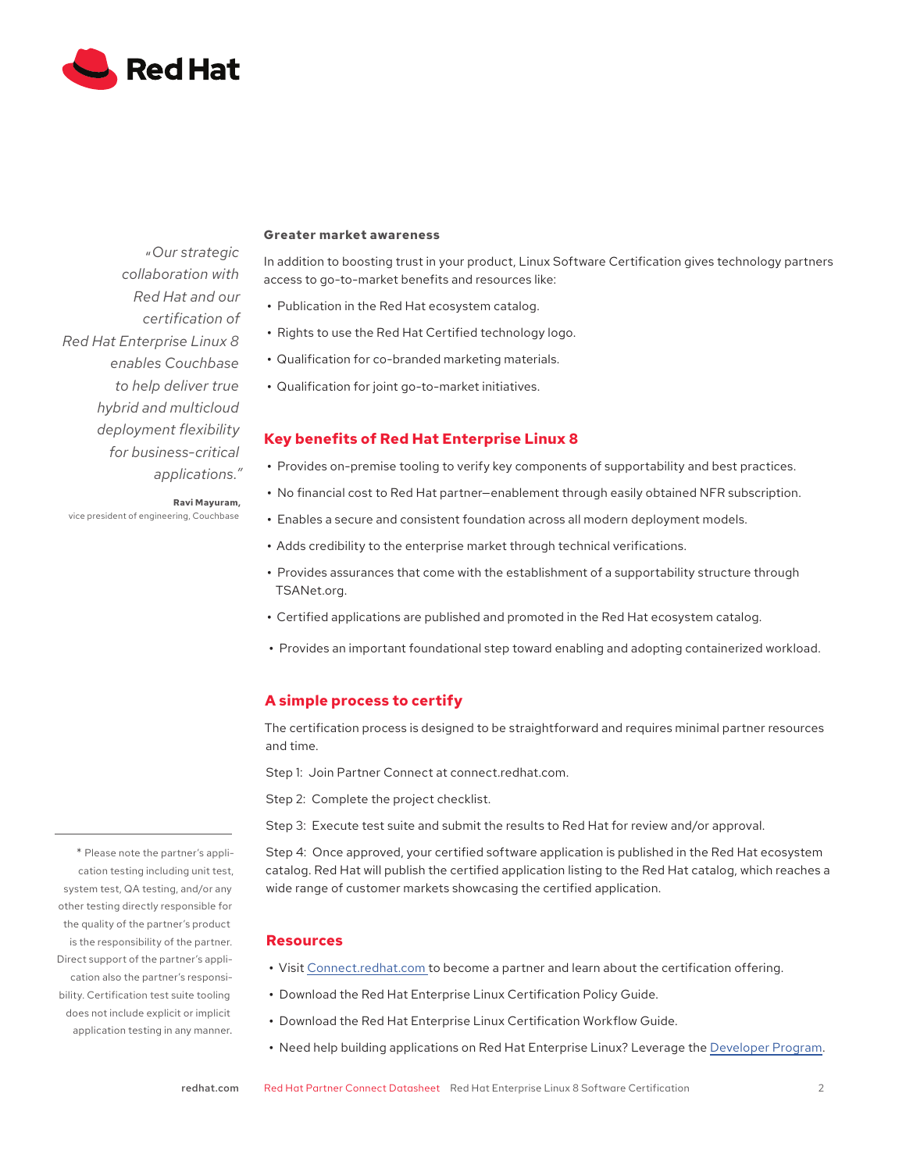

"*Our strategic collaboration with Red Hat and our certification of Red Hat Enterprise Linux 8 enables Couchbase to help deliver true hybrid and multicloud deployment flexibility for business-critical applications."*

#### **Greater market awareness**

In addition to boosting trust in your product, Linux Software Certification gives technology partners access to go-to-market benefits and resources like:

- **•** Publication in the Red Hat ecosystem catalog.
- **•** Rights to use the Red Hat Certified technology logo.
- **•** Qualification for co-branded marketing materials.
- **•** Qualification for joint go-to-market initiatives.

## **Key benefits of Red Hat Enterprise Linux 8**

- **•** Provides on-premise tooling to verify key components of supportability and best practices.
- **•** No financial cost to Red Hat partner—enablement through easily obtained NFR subscription.
- **•** Enables a secure and consistent foundation across all modern deployment models.
- **•** Adds credibility to the enterprise market through technical verifications.
- **•** Provides assurances that come with the establishment of a supportability structure through TSANet.org.
- **•** Certified applications are published and promoted in the Red Hat ecosystem catalog.
- **•** Provides an important foundational step toward enabling and adopting containerized workload.

## **A simple process to certify**

The certification process is designed to be straightforward and requires minimal partner resources and time.

Step 1: Join Partner Connect at connect.redhat.com.

Step 2: Complete the project checklist.

Step 3: Execute test suite and submit the results to Red Hat for review and/or approval.

Step 4: Once approved, your certified software application is published in the Red Hat ecosystem catalog. Red Hat will publish the certified application listing to the Red Hat catalog, which reaches a wide range of customer markets showcasing the certified application.

#### **Resources**

- **•** Visit Connect.redhat.com to become a partner and learn about the certification offering.
- **•** Download the Red Hat Enterprise Linux Certification Policy Guide.
- **•** Download the Red Hat Enterprise Linux Certification Workflow Guide.
- **•** Need help building applications on Red Hat Enterprise Linux? Leverage the Developer Program.

\* Please note the partner's application testing including unit test, system test, QA testing, and/or any other testing directly responsible for the quality of the partner's product is the responsibility of the partner. Direct support of the partner's application also the partner's responsibility. Certification test suite tooling does not include explicit or implicit application testing in any manner.

**Ravi Mayuram,**  vice president of engineering, Couchbase